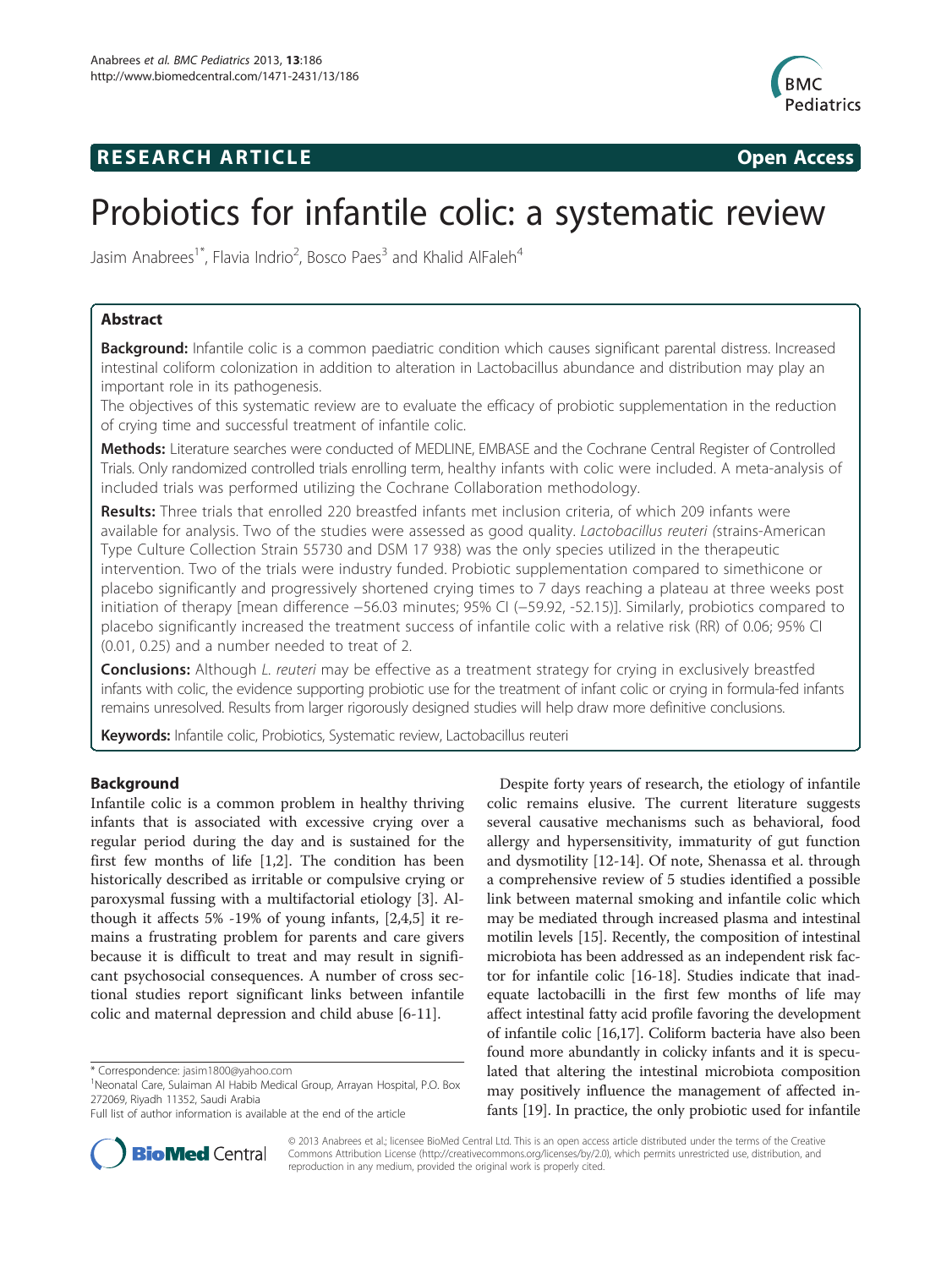# **RESEARCH ARTICLE Example 2014 CONSIDERING CONSIDERING CONSIDERING CONSIDERING CONSIDERING CONSIDERING CONSIDERING CONSIDERING CONSIDERING CONSIDERING CONSIDERING CONSIDERING CONSIDERING CONSIDERING CONSIDERING CONSIDE**



# Probiotics for infantile colic: a systematic review

Jasim Anabrees<sup>1\*</sup>, Flavia Indrio<sup>2</sup>, Bosco Paes<sup>3</sup> and Khalid AlFaleh<sup>4</sup>

# Abstract

Background: Infantile colic is a common paediatric condition which causes significant parental distress. Increased intestinal coliform colonization in addition to alteration in Lactobacillus abundance and distribution may play an important role in its pathogenesis.

The objectives of this systematic review are to evaluate the efficacy of probiotic supplementation in the reduction of crying time and successful treatment of infantile colic.

Methods: Literature searches were conducted of MEDLINE, EMBASE and the Cochrane Central Register of Controlled Trials. Only randomized controlled trials enrolling term, healthy infants with colic were included. A meta-analysis of included trials was performed utilizing the Cochrane Collaboration methodology.

Results: Three trials that enrolled 220 breastfed infants met inclusion criteria, of which 209 infants were available for analysis. Two of the studies were assessed as good quality. Lactobacillus reuteri (strains-American Type Culture Collection Strain 55730 and DSM 17 938) was the only species utilized in the therapeutic intervention. Two of the trials were industry funded. Probiotic supplementation compared to simethicone or placebo significantly and progressively shortened crying times to 7 days reaching a plateau at three weeks post initiation of therapy [mean difference −56.03 minutes; 95% CI (−59.92, -52.15)]. Similarly, probiotics compared to placebo significantly increased the treatment success of infantile colic with a relative risk (RR) of 0.06; 95% CI (0.01, 0.25) and a number needed to treat of 2.

**Conclusions:** Although L. reuteri may be effective as a treatment strategy for crying in exclusively breastfed infants with colic, the evidence supporting probiotic use for the treatment of infant colic or crying in formula-fed infants remains unresolved. Results from larger rigorously designed studies will help draw more definitive conclusions.

Keywords: Infantile colic, Probiotics, Systematic review, Lactobacillus reuteri

# Background

Infantile colic is a common problem in healthy thriving infants that is associated with excessive crying over a regular period during the day and is sustained for the first few months of life [[1,2\]](#page-7-0). The condition has been historically described as irritable or compulsive crying or paroxysmal fussing with a multifactorial etiology [[3\]](#page-7-0). Although it affects 5% -19% of young infants, [[2,4,5\]](#page-7-0) it remains a frustrating problem for parents and care givers because it is difficult to treat and may result in significant psychosocial consequences. A number of cross sectional studies report significant links between infantile colic and maternal depression and child abuse [\[6](#page-7-0)-[11\]](#page-8-0).





© 2013 Anabrees et al.; licensee BioMed Central Ltd. This is an open access article distributed under the terms of the Creative Commons Attribution License [\(http://creativecommons.org/licenses/by/2.0\)](http://creativecommons.org/licenses/by/2.0), which permits unrestricted use, distribution, and reproduction in any medium, provided the original work is properly cited.

<sup>\*</sup> Correspondence: [jasim1800@yahoo.com](mailto:jasim1800@yahoo.com) <sup>1</sup>

Neonatal Care, Sulaiman Al Habib Medical Group, Arrayan Hospital, P.O. Box 272069, Riyadh 11352, Saudi Arabia

Full list of author information is available at the end of the article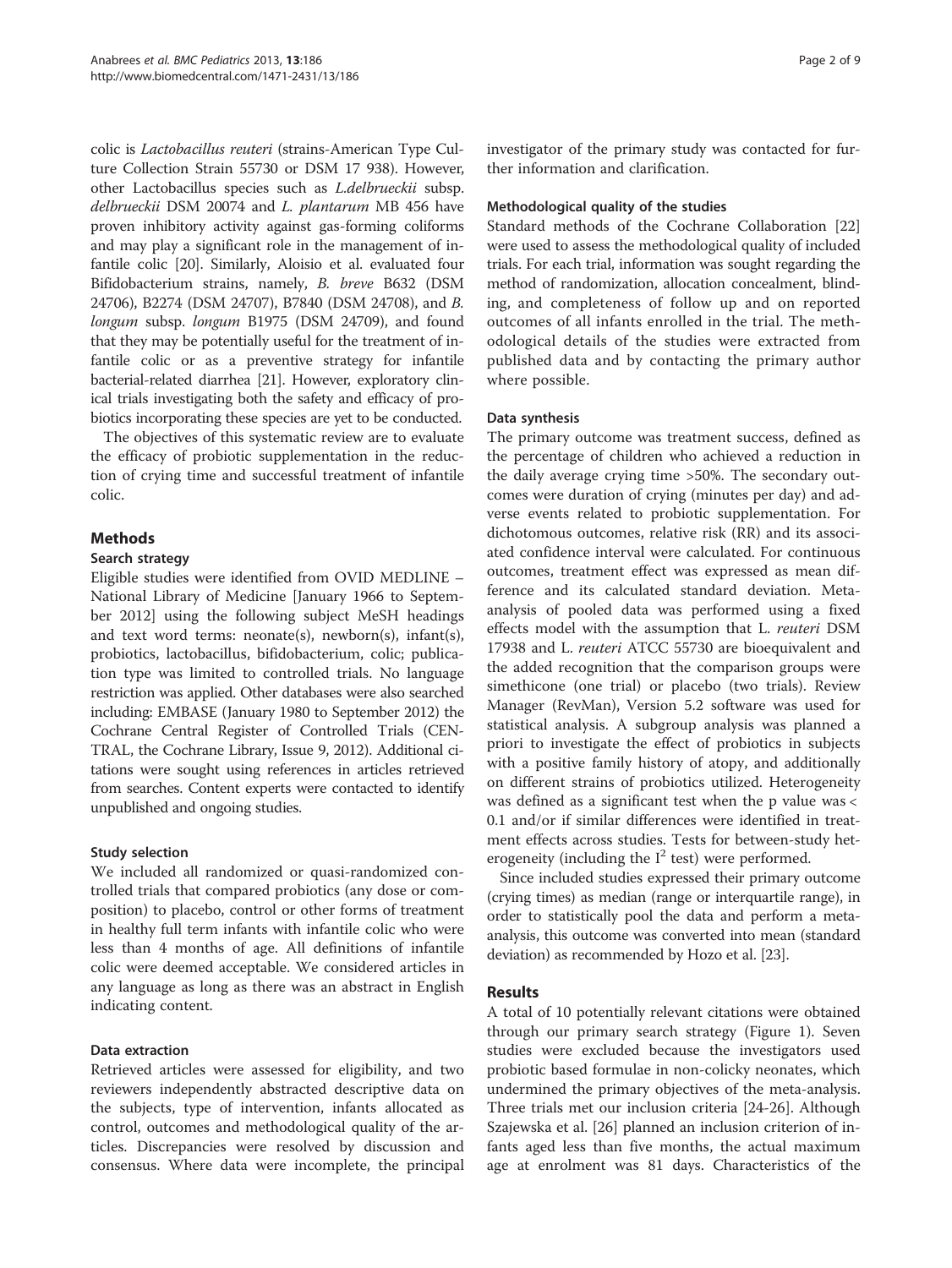colic is Lactobacillus reuteri (strains-American Type Culture Collection Strain 55730 or DSM 17 938). However, other Lactobacillus species such as L.delbrueckii subsp. delbrueckii DSM 20074 and L. plantarum MB 456 have proven inhibitory activity against gas-forming coliforms and may play a significant role in the management of infantile colic [\[20](#page-8-0)]. Similarly, Aloisio et al. evaluated four Bifidobacterium strains, namely, B. breve B632 (DSM 24706), B2274 (DSM 24707), B7840 (DSM 24708), and B. longum subsp. longum B1975 (DSM 24709), and found that they may be potentially useful for the treatment of infantile colic or as a preventive strategy for infantile bacterial-related diarrhea [\[21](#page-8-0)]. However, exploratory clinical trials investigating both the safety and efficacy of probiotics incorporating these species are yet to be conducted.

The objectives of this systematic review are to evaluate the efficacy of probiotic supplementation in the reduction of crying time and successful treatment of infantile colic.

# Methods

#### Search strategy

Eligible studies were identified from OVID MEDLINE – National Library of Medicine [January 1966 to September 2012] using the following subject MeSH headings and text word terms: neonate(s), newborn(s), infant(s), probiotics, lactobacillus, bifidobacterium, colic; publication type was limited to controlled trials. No language restriction was applied. Other databases were also searched including: EMBASE (January 1980 to September 2012) the Cochrane Central Register of Controlled Trials (CEN-TRAL, the Cochrane Library, Issue 9, 2012). Additional citations were sought using references in articles retrieved from searches. Content experts were contacted to identify unpublished and ongoing studies.

# Study selection

We included all randomized or quasi-randomized controlled trials that compared probiotics (any dose or composition) to placebo, control or other forms of treatment in healthy full term infants with infantile colic who were less than 4 months of age. All definitions of infantile colic were deemed acceptable. We considered articles in any language as long as there was an abstract in English indicating content.

#### Data extraction

Retrieved articles were assessed for eligibility, and two reviewers independently abstracted descriptive data on the subjects, type of intervention, infants allocated as control, outcomes and methodological quality of the articles. Discrepancies were resolved by discussion and consensus. Where data were incomplete, the principal investigator of the primary study was contacted for further information and clarification.

#### Methodological quality of the studies

Standard methods of the Cochrane Collaboration [[22](#page-8-0)] were used to assess the methodological quality of included trials. For each trial, information was sought regarding the method of randomization, allocation concealment, blinding, and completeness of follow up and on reported outcomes of all infants enrolled in the trial. The methodological details of the studies were extracted from published data and by contacting the primary author where possible.

#### Data synthesis

The primary outcome was treatment success, defined as the percentage of children who achieved a reduction in the daily average crying time >50%. The secondary outcomes were duration of crying (minutes per day) and adverse events related to probiotic supplementation. For dichotomous outcomes, relative risk (RR) and its associated confidence interval were calculated. For continuous outcomes, treatment effect was expressed as mean difference and its calculated standard deviation. Metaanalysis of pooled data was performed using a fixed effects model with the assumption that L. reuteri DSM 17938 and L. reuteri ATCC 55730 are bioequivalent and the added recognition that the comparison groups were simethicone (one trial) or placebo (two trials). Review Manager (RevMan), Version 5.2 software was used for statistical analysis. A subgroup analysis was planned a priori to investigate the effect of probiotics in subjects with a positive family history of atopy, and additionally on different strains of probiotics utilized. Heterogeneity was defined as a significant test when the p value was < 0.1 and/or if similar differences were identified in treatment effects across studies. Tests for between-study heterogeneity (including the  $I^2$  test) were performed.

Since included studies expressed their primary outcome (crying times) as median (range or interquartile range), in order to statistically pool the data and perform a metaanalysis, this outcome was converted into mean (standard deviation) as recommended by Hozo et al. [\[23\]](#page-8-0).

# Results

A total of 10 potentially relevant citations were obtained through our primary search strategy (Figure [1\)](#page-2-0). Seven studies were excluded because the investigators used probiotic based formulae in non-colicky neonates, which undermined the primary objectives of the meta-analysis. Three trials met our inclusion criteria [\[24](#page-8-0)-[26](#page-8-0)]. Although Szajewska et al. [[26\]](#page-8-0) planned an inclusion criterion of infants aged less than five months, the actual maximum age at enrolment was 81 days. Characteristics of the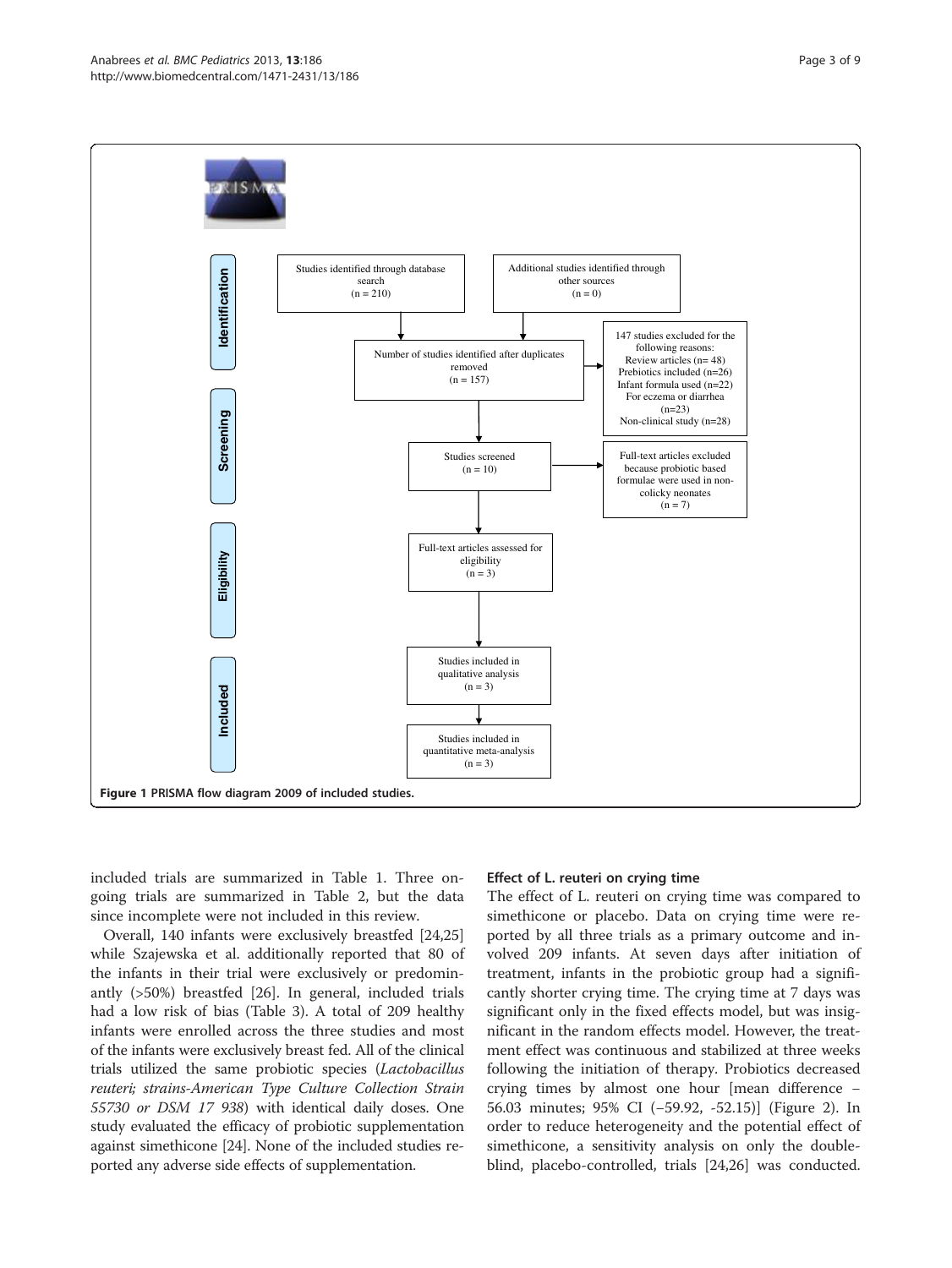

<span id="page-2-0"></span>

included trials are summarized in Table [1.](#page-3-0) Three ongoing trials are summarized in Table [2,](#page-4-0) but the data since incomplete were not included in this review.

Overall, 140 infants were exclusively breastfed [[24](#page-8-0),[25](#page-8-0)] while Szajewska et al. additionally reported that 80 of the infants in their trial were exclusively or predominantly (>50%) breastfed [\[26\]](#page-8-0). In general, included trials had a low risk of bias (Table [3\)](#page-5-0). A total of 209 healthy infants were enrolled across the three studies and most of the infants were exclusively breast fed. All of the clinical trials utilized the same probiotic species (Lactobacillus reuteri; strains-American Type Culture Collection Strain 55730 or DSM 17 938) with identical daily doses. One study evaluated the efficacy of probiotic supplementation against simethicone [\[24\]](#page-8-0). None of the included studies reported any adverse side effects of supplementation.

#### Effect of L. reuteri on crying time

The effect of L. reuteri on crying time was compared to simethicone or placebo. Data on crying time were reported by all three trials as a primary outcome and involved 209 infants. At seven days after initiation of treatment, infants in the probiotic group had a significantly shorter crying time. The crying time at 7 days was significant only in the fixed effects model, but was insignificant in the random effects model. However, the treatment effect was continuous and stabilized at three weeks following the initiation of therapy. Probiotics decreased crying times by almost one hour [mean difference − 56.03 minutes; 95% CI (−59.92, -52.15)] (Figure [2\)](#page-6-0). In order to reduce heterogeneity and the potential effect of simethicone, a sensitivity analysis on only the doubleblind, placebo-controlled, trials [\[24,26\]](#page-8-0) was conducted.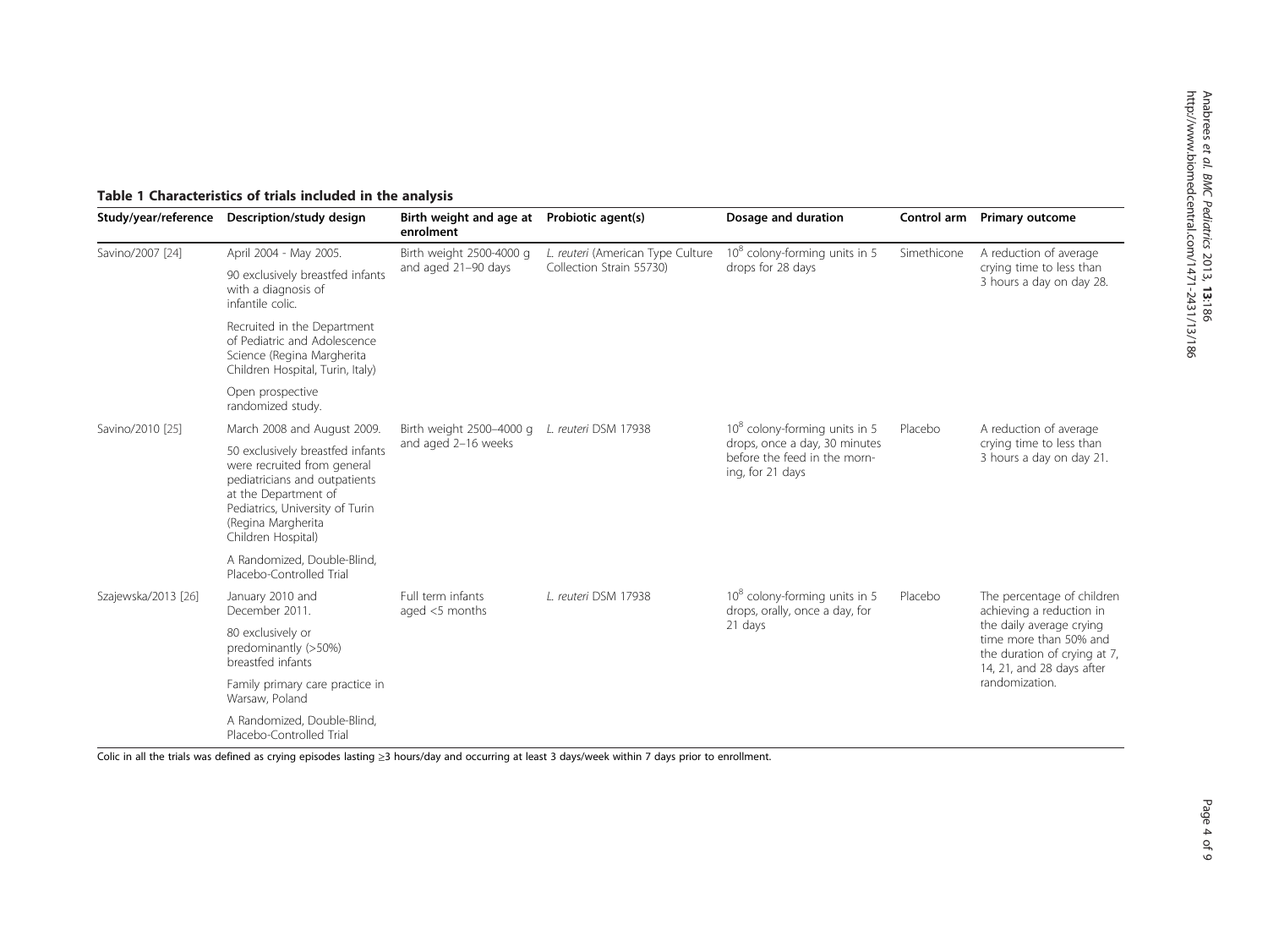<span id="page-3-0"></span>

| Study/year/reference | Description/study design                                                                                                                                                                                | Birth weight and age at<br>enrolment            | Probiotic agent(s)                                            | Dosage and duration                                                                                                            | Control arm | <b>Primary outcome</b>                                                                                                                                                    |  |
|----------------------|---------------------------------------------------------------------------------------------------------------------------------------------------------------------------------------------------------|-------------------------------------------------|---------------------------------------------------------------|--------------------------------------------------------------------------------------------------------------------------------|-------------|---------------------------------------------------------------------------------------------------------------------------------------------------------------------------|--|
| Savino/2007 [24]     | April 2004 - May 2005.                                                                                                                                                                                  | Birth weight 2500-4000 g<br>and aged 21-90 days | L. reuteri (American Type Culture<br>Collection Strain 55730) | $108$ colony-forming units in 5<br>drops for 28 days                                                                           | Simethicone | A reduction of average<br>crying time to less than<br>3 hours a day on day 28.                                                                                            |  |
|                      | 90 exclusively breastfed infants<br>with a diagnosis of<br>infantile colic.                                                                                                                             |                                                 |                                                               |                                                                                                                                |             |                                                                                                                                                                           |  |
|                      | Recruited in the Department<br>of Pediatric and Adolescence<br>Science (Regina Margherita<br>Children Hospital, Turin, Italy)                                                                           |                                                 |                                                               |                                                                                                                                |             |                                                                                                                                                                           |  |
|                      | Open prospective<br>randomized study.                                                                                                                                                                   |                                                 |                                                               |                                                                                                                                |             |                                                                                                                                                                           |  |
| Savino/2010 [25]     | March 2008 and August 2009.                                                                                                                                                                             | Birth weight 2500-4000 g                        | L. reuteri DSM 17938                                          | 10 <sup>8</sup> colony-forming units in 5<br>drops, once a day, 30 minutes<br>before the feed in the morn-<br>ing, for 21 days | Placebo     | A reduction of average<br>crying time to less than<br>3 hours a day on day 21.                                                                                            |  |
|                      | 50 exclusively breastfed infants<br>were recruited from general<br>pediatricians and outpatients<br>at the Department of<br>Pediatrics, University of Turin<br>(Regina Margherita<br>Children Hospital) | and aged 2-16 weeks                             |                                                               |                                                                                                                                |             |                                                                                                                                                                           |  |
|                      | A Randomized, Double-Blind,<br>Placebo-Controlled Trial                                                                                                                                                 |                                                 |                                                               |                                                                                                                                |             |                                                                                                                                                                           |  |
| Szajewska/2013 [26]  | January 2010 and<br>December 2011.                                                                                                                                                                      | Full term infants<br>aged $<$ 5 months          | L. reuteri DSM 17938                                          | 10 <sup>8</sup> colony-forming units in 5<br>drops, orally, once a day, for<br>21 days                                         | Placebo     | The percentage of children<br>achieving a reduction in<br>the daily average crying<br>time more than 50% and<br>the duration of crying at 7,<br>14, 21, and 28 days after |  |
|                      | 80 exclusively or<br>predominantly (>50%)<br>breastfed infants                                                                                                                                          |                                                 |                                                               |                                                                                                                                |             |                                                                                                                                                                           |  |
|                      | Family primary care practice in<br>Warsaw, Poland                                                                                                                                                       |                                                 |                                                               |                                                                                                                                |             | randomization.                                                                                                                                                            |  |
|                      | A Randomized, Double-Blind,<br>Placebo-Controlled Trial                                                                                                                                                 |                                                 |                                                               |                                                                                                                                |             |                                                                                                                                                                           |  |

Colic in all the trials was defined as crying episodes lasting <sup>≥</sup>3 hours/day and occurring at least 3 days/week within <sup>7</sup> days prior to enrollment.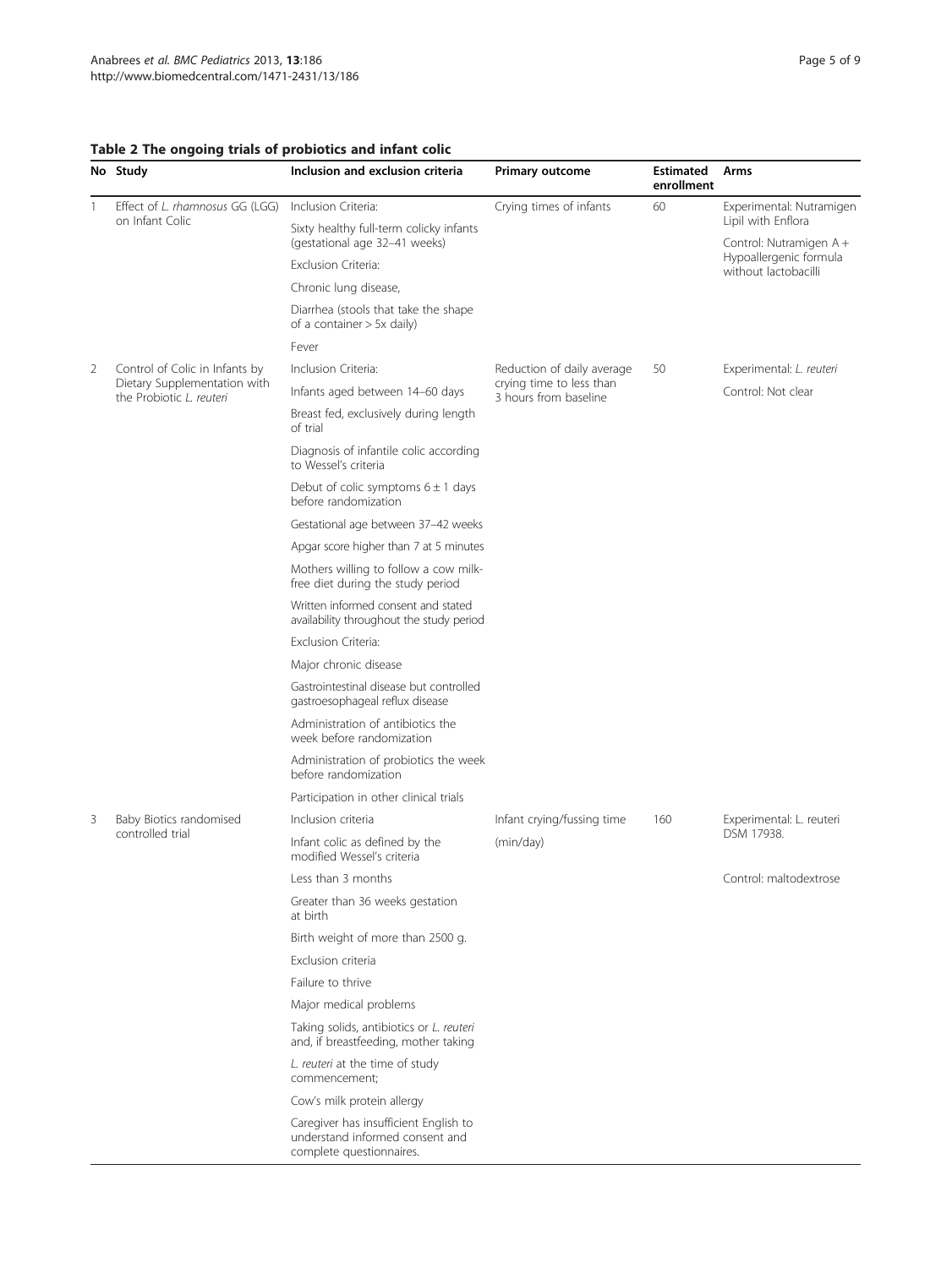# <span id="page-4-0"></span>Table 2 The ongoing trials of probiotics and infant colic

|   | No Study                                                                                   | Inclusion and exclusion criteria                                                                     | <b>Primary outcome</b>                                                          | <b>Estimated</b><br>enrollment | Arms                                           |  |
|---|--------------------------------------------------------------------------------------------|------------------------------------------------------------------------------------------------------|---------------------------------------------------------------------------------|--------------------------------|------------------------------------------------|--|
| 1 | Effect of L. rhamnosus GG (LGG)<br>on Infant Colic                                         | Inclusion Criteria:                                                                                  | Crying times of infants                                                         | 60                             | Experimental: Nutramigen<br>Lipil with Enflora |  |
|   |                                                                                            | Sixty healthy full-term colicky infants<br>(gestational age 32-41 weeks)                             |                                                                                 |                                | Control: Nutramigen A+                         |  |
|   |                                                                                            | Exclusion Criteria:                                                                                  |                                                                                 |                                | Hypoallergenic formula<br>without lactobacilli |  |
|   |                                                                                            | Chronic lung disease,                                                                                |                                                                                 |                                |                                                |  |
|   |                                                                                            | Diarrhea (stools that take the shape<br>of a container $> 5x$ daily)                                 |                                                                                 |                                |                                                |  |
|   |                                                                                            | Fever                                                                                                |                                                                                 |                                |                                                |  |
| 2 | Control of Colic in Infants by<br>Dietary Supplementation with<br>the Probiotic L. reuteri | Inclusion Criteria:                                                                                  | Reduction of daily average<br>crying time to less than<br>3 hours from baseline | 50                             | Experimental: L. reuteri                       |  |
|   |                                                                                            | Infants aged between 14-60 days                                                                      |                                                                                 |                                | Control: Not clear                             |  |
|   |                                                                                            | Breast fed, exclusively during length<br>of trial                                                    |                                                                                 |                                |                                                |  |
|   |                                                                                            | Diagnosis of infantile colic according<br>to Wessel's criteria                                       |                                                                                 |                                |                                                |  |
|   |                                                                                            | Debut of colic symptoms $6 \pm 1$ days<br>before randomization                                       |                                                                                 |                                |                                                |  |
|   |                                                                                            | Gestational age between 37-42 weeks                                                                  |                                                                                 |                                |                                                |  |
|   |                                                                                            | Apgar score higher than 7 at 5 minutes                                                               |                                                                                 |                                |                                                |  |
|   |                                                                                            | Mothers willing to follow a cow milk-<br>free diet during the study period                           |                                                                                 |                                |                                                |  |
|   |                                                                                            | Written informed consent and stated<br>availability throughout the study period                      |                                                                                 |                                |                                                |  |
|   |                                                                                            | Exclusion Criteria:                                                                                  |                                                                                 |                                |                                                |  |
|   |                                                                                            | Major chronic disease                                                                                |                                                                                 |                                |                                                |  |
|   |                                                                                            | Gastrointestinal disease but controlled<br>gastroesophageal reflux disease                           |                                                                                 |                                |                                                |  |
|   |                                                                                            | Administration of antibiotics the<br>week before randomization                                       |                                                                                 |                                |                                                |  |
|   |                                                                                            | Administration of probiotics the week<br>before randomization                                        |                                                                                 |                                |                                                |  |
|   |                                                                                            | Participation in other clinical trials                                                               |                                                                                 |                                |                                                |  |
| 3 | Baby Biotics randomised<br>controlled trial                                                | Inclusion criteria                                                                                   | Infant crying/fussing time                                                      | 160                            | Experimental: L. reuteri                       |  |
|   |                                                                                            | Infant colic as defined by the<br>modified Wessel's criteria                                         | (min/day)                                                                       |                                | DSM 17938.                                     |  |
|   |                                                                                            | Less than 3 months                                                                                   |                                                                                 |                                | Control: maltodextrose                         |  |
|   |                                                                                            | Greater than 36 weeks gestation<br>at birth                                                          |                                                                                 |                                |                                                |  |
|   |                                                                                            | Birth weight of more than 2500 g.                                                                    |                                                                                 |                                |                                                |  |
|   |                                                                                            | Exclusion criteria                                                                                   |                                                                                 |                                |                                                |  |
|   |                                                                                            | Failure to thrive                                                                                    |                                                                                 |                                |                                                |  |
|   |                                                                                            | Major medical problems                                                                               |                                                                                 |                                |                                                |  |
|   |                                                                                            | Taking solids, antibiotics or L. reuteri<br>and, if breastfeeding, mother taking                     |                                                                                 |                                |                                                |  |
|   |                                                                                            | L. reuteri at the time of study<br>commencement;                                                     |                                                                                 |                                |                                                |  |
|   |                                                                                            | Cow's milk protein allergy                                                                           |                                                                                 |                                |                                                |  |
|   |                                                                                            | Caregiver has insufficient English to<br>understand informed consent and<br>complete questionnaires. |                                                                                 |                                |                                                |  |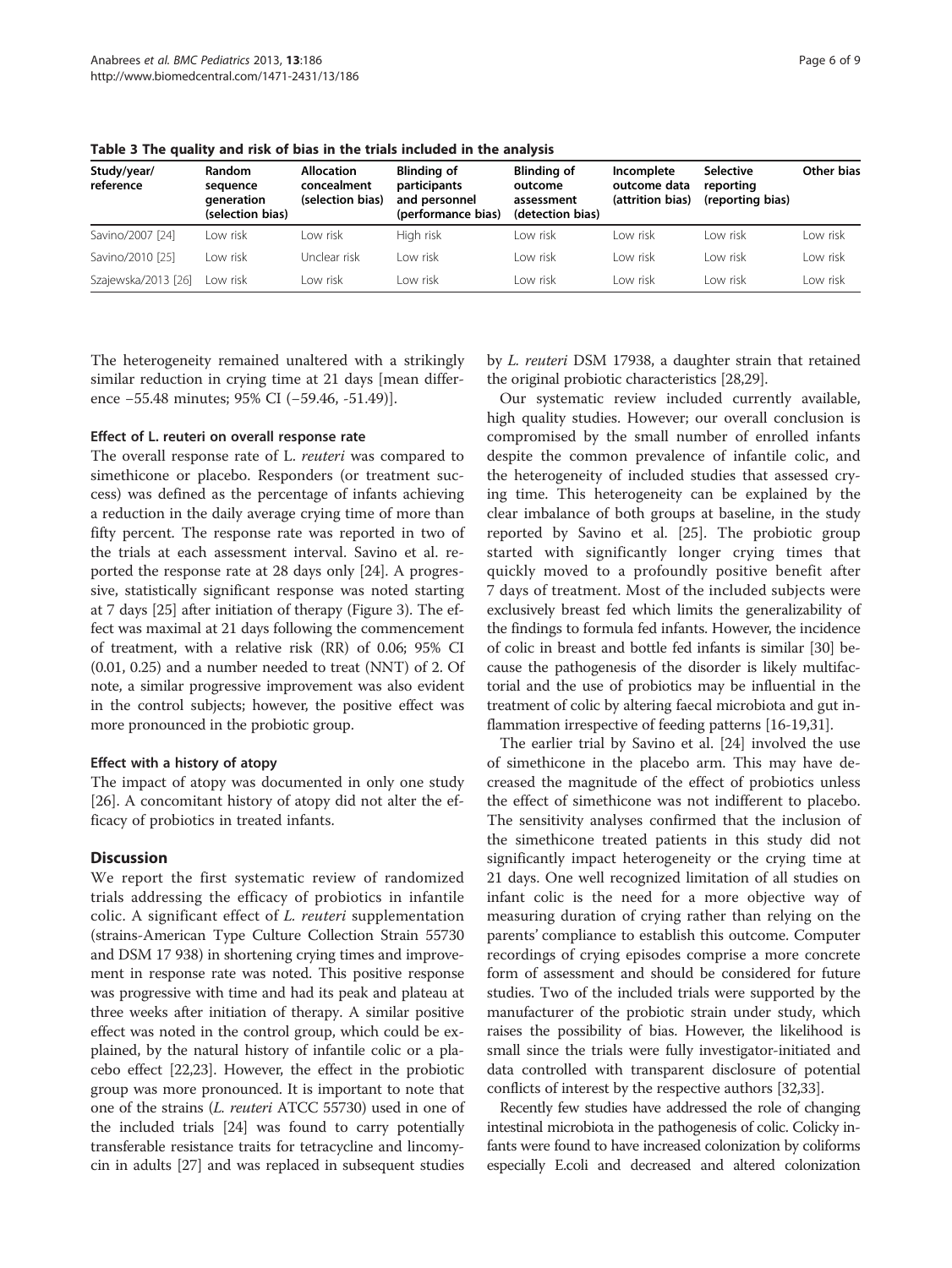| Study/year/<br>reference | <b>Random</b><br>sequence<br>generation<br>(selection bias) | <b>Allocation</b><br>concealment<br>(selection bias) | <b>Blinding of</b><br>participants<br>and personnel<br>(performance bias) | <b>Blinding of</b><br>outcome<br>assessment<br>(detection bias) | Incomplete<br>outcome data<br>(attrition bias) | <b>Selective</b><br>reporting<br>(reporting bias) | Other bias |
|--------------------------|-------------------------------------------------------------|------------------------------------------------------|---------------------------------------------------------------------------|-----------------------------------------------------------------|------------------------------------------------|---------------------------------------------------|------------|
| Savino/2007 [24]         | I ow risk                                                   | I ow risk                                            | High risk                                                                 | I ow risk                                                       | I ow risk                                      | I ow risk                                         | Low risk   |
| Savino/2010 [25]         | Low risk                                                    | Unclear risk                                         | I ow risk                                                                 | I ow risk                                                       | I ow risk                                      | I ow risk                                         | Low risk   |
| Szajewska/2013 [26]      | Low risk                                                    | I ow risk                                            | I ow risk                                                                 | I ow risk                                                       | I ow risk                                      | I ow risk                                         | ow risk    |

<span id="page-5-0"></span>Table 3 The quality and risk of bias in the trials included in the analysis

The heterogeneity remained unaltered with a strikingly similar reduction in crying time at 21 days [mean difference −55.48 minutes; 95% CI (−59.46, -51.49)].

#### Effect of L. reuteri on overall response rate

The overall response rate of L. reuteri was compared to simethicone or placebo. Responders (or treatment success) was defined as the percentage of infants achieving a reduction in the daily average crying time of more than fifty percent. The response rate was reported in two of the trials at each assessment interval. Savino et al. reported the response rate at 28 days only [\[24\]](#page-8-0). A progressive, statistically significant response was noted starting at 7 days [\[25\]](#page-8-0) after initiation of therapy (Figure [3](#page-7-0)). The effect was maximal at 21 days following the commencement of treatment, with a relative risk (RR) of 0.06; 95% CI (0.01, 0.25) and a number needed to treat (NNT) of 2. Of note, a similar progressive improvement was also evident in the control subjects; however, the positive effect was more pronounced in the probiotic group.

#### Effect with a history of atopy

The impact of atopy was documented in only one study [[26\]](#page-8-0). A concomitant history of atopy did not alter the efficacy of probiotics in treated infants.

# **Discussion**

We report the first systematic review of randomized trials addressing the efficacy of probiotics in infantile colic. A significant effect of L. reuteri supplementation (strains-American Type Culture Collection Strain 55730 and DSM 17 938) in shortening crying times and improvement in response rate was noted. This positive response was progressive with time and had its peak and plateau at three weeks after initiation of therapy. A similar positive effect was noted in the control group, which could be explained, by the natural history of infantile colic or a placebo effect [\[22,23](#page-8-0)]. However, the effect in the probiotic group was more pronounced. It is important to note that one of the strains (L. reuteri ATCC 55730) used in one of the included trials [\[24](#page-8-0)] was found to carry potentially transferable resistance traits for tetracycline and lincomycin in adults [[27](#page-8-0)] and was replaced in subsequent studies

by L. reuteri DSM 17938, a daughter strain that retained the original probiotic characteristics [\[28,29](#page-8-0)].

Our systematic review included currently available, high quality studies. However; our overall conclusion is compromised by the small number of enrolled infants despite the common prevalence of infantile colic, and the heterogeneity of included studies that assessed crying time. This heterogeneity can be explained by the clear imbalance of both groups at baseline, in the study reported by Savino et al. [\[25](#page-8-0)]. The probiotic group started with significantly longer crying times that quickly moved to a profoundly positive benefit after 7 days of treatment. Most of the included subjects were exclusively breast fed which limits the generalizability of the findings to formula fed infants. However, the incidence of colic in breast and bottle fed infants is similar [[30](#page-8-0)] because the pathogenesis of the disorder is likely multifactorial and the use of probiotics may be influential in the treatment of colic by altering faecal microbiota and gut inflammation irrespective of feeding patterns [\[16-19,31](#page-8-0)].

The earlier trial by Savino et al. [[24](#page-8-0)] involved the use of simethicone in the placebo arm. This may have decreased the magnitude of the effect of probiotics unless the effect of simethicone was not indifferent to placebo. The sensitivity analyses confirmed that the inclusion of the simethicone treated patients in this study did not significantly impact heterogeneity or the crying time at 21 days. One well recognized limitation of all studies on infant colic is the need for a more objective way of measuring duration of crying rather than relying on the parents' compliance to establish this outcome. Computer recordings of crying episodes comprise a more concrete form of assessment and should be considered for future studies. Two of the included trials were supported by the manufacturer of the probiotic strain under study, which raises the possibility of bias. However, the likelihood is small since the trials were fully investigator-initiated and data controlled with transparent disclosure of potential conflicts of interest by the respective authors [\[32,33\]](#page-8-0).

Recently few studies have addressed the role of changing intestinal microbiota in the pathogenesis of colic. Colicky infants were found to have increased colonization by coliforms especially E.coli and decreased and altered colonization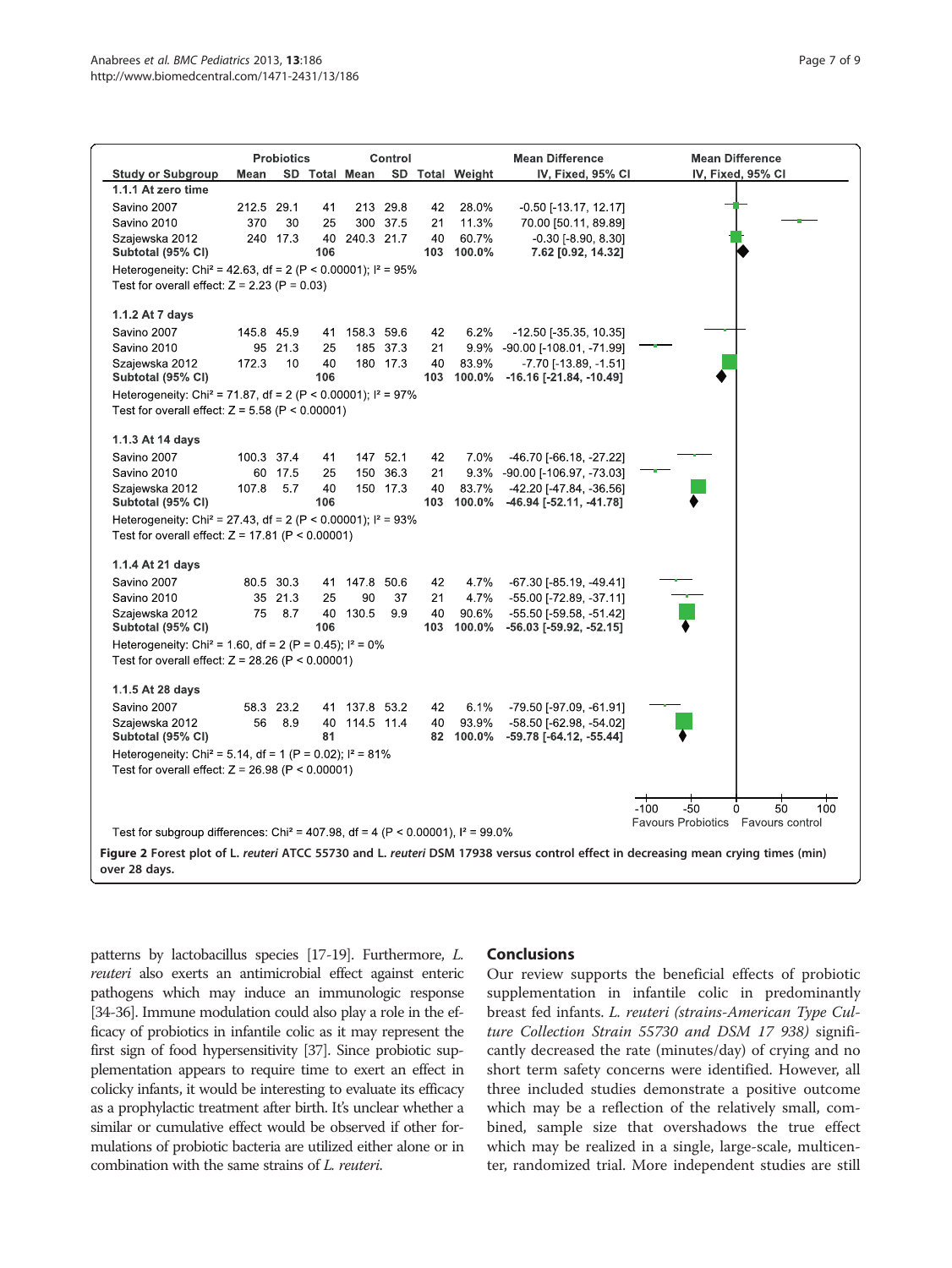<span id="page-6-0"></span>

| SD Total Mean<br>SD Total Weight<br><b>Study or Subgroup</b><br>Mean<br>IV, Fixed, 95% CI<br>IV, Fixed, 95% CI<br>1.1.1 At zero time<br>Savino 2007                            |     |  |  |  |  |  |
|--------------------------------------------------------------------------------------------------------------------------------------------------------------------------------|-----|--|--|--|--|--|
|                                                                                                                                                                                |     |  |  |  |  |  |
|                                                                                                                                                                                |     |  |  |  |  |  |
| 212.5 29.1<br>41<br>213 29.8<br>28.0%<br>$-0.50$ [ $-13.17$ , $12.17$ ]<br>42                                                                                                  |     |  |  |  |  |  |
| Savino 2010<br>370<br>30<br>25<br>300 37.5<br>11.3%<br>70.00 [50.11, 89.89]<br>21                                                                                              |     |  |  |  |  |  |
| 60.7%<br>Szajewska 2012<br>240 17.3<br>40 240.3 21.7<br>40<br>$-0.30$ [ $-8.90, 8.30$ ]<br>Subtotal (95% CI)<br>106<br>103 100.0%<br>7.62 [0.92, 14.32]                        |     |  |  |  |  |  |
| Heterogeneity: Chi <sup>2</sup> = 42.63, df = 2 (P < 0.00001); $I^2$ = 95%                                                                                                     |     |  |  |  |  |  |
| Test for overall effect: $Z = 2.23$ (P = 0.03)                                                                                                                                 |     |  |  |  |  |  |
| 1.1.2 At 7 days                                                                                                                                                                |     |  |  |  |  |  |
| Savino 2007<br>145.8 45.9<br>158.3 59.6<br>6.2%<br>$-12.50$ [ $-35.35$ , 10.35]<br>41<br>42                                                                                    |     |  |  |  |  |  |
| Savino 2010<br>95 21.3<br>25<br>185 37.3<br>9.9% -90.00 [-108.01, -71.99]<br>21                                                                                                |     |  |  |  |  |  |
| Szajewska 2012<br>172.3<br>10<br>40<br>180 17.3<br>40<br>83.9%<br>$-7.70$ [ $-13.89$ , $-1.51$ ]<br>106<br>103 100.0%<br>$-16.16$ [ $-21.84$ , $-10.49$ ]<br>Subtotal (95% CI) |     |  |  |  |  |  |
| Heterogeneity: Chi <sup>2</sup> = 71.87, df = 2 (P < 0.00001); $I^2$ = 97%                                                                                                     |     |  |  |  |  |  |
| Test for overall effect: $Z = 5.58$ (P < 0.00001)                                                                                                                              |     |  |  |  |  |  |
| 1.1.3 At 14 days                                                                                                                                                               |     |  |  |  |  |  |
| Savino 2007<br>100.3 37.4<br>147 52.1<br>7.0%<br>-46.70 [-66.18, -27.22]<br>41<br>42                                                                                           |     |  |  |  |  |  |
| Savino 2010<br>60 17.5<br>25<br>150 36.3<br>21<br>9.3%<br>-90.00 [-106.97, -73.03]                                                                                             |     |  |  |  |  |  |
| 5.7<br>40<br>150 17.3<br>83.7%<br>-42.20 [-47.84, -36.56]<br>Szajewska 2012<br>107.8<br>40<br>Subtotal (95% CI)<br>106<br>103<br>100.0%<br>-46.94 [-52.11, -41.78]             |     |  |  |  |  |  |
| Heterogeneity: Chi <sup>2</sup> = 27.43, df = 2 (P < 0.00001); $I^2$ = 93%                                                                                                     |     |  |  |  |  |  |
| Test for overall effect: $Z = 17.81$ (P < 0.00001)                                                                                                                             |     |  |  |  |  |  |
| 1.1.4 At 21 days                                                                                                                                                               |     |  |  |  |  |  |
| Savino 2007<br>80.5 30.3<br>147.8 50.6<br>42<br>4.7%<br>$-67.30$ [ $-85.19, -49.41$ ]<br>41                                                                                    |     |  |  |  |  |  |
| 4.7%<br>Savino 2010<br>35 21.3<br>25<br>90<br>37<br>21<br>-55.00 [-72.89, -37.11]                                                                                              |     |  |  |  |  |  |
| 75<br>8.7<br>40 130.5<br>9.9<br>40<br>90.6%<br>-55 50 [-59.58, -51.42]<br>Szajewska 2012<br>Subtotal (95% CI)<br>106<br>103<br>100.0%<br>$-56.03$ [ $-59.92$ , $-52.15$ ]      |     |  |  |  |  |  |
| Heterogeneity: Chi <sup>2</sup> = 1.60, df = 2 (P = 0.45); $I^2 = 0\%$                                                                                                         |     |  |  |  |  |  |
| Test for overall effect: $Z = 28.26$ (P < 0.00001)                                                                                                                             |     |  |  |  |  |  |
| 1.1.5 At 28 days                                                                                                                                                               |     |  |  |  |  |  |
| Savino 2007<br>58.3 23.2<br>6.1%<br>-79.50 [-97.09, -61.91]<br>137.8 53.2<br>42<br>41                                                                                          |     |  |  |  |  |  |
| 56<br>8.9<br>114.5 11.4<br>93.9%<br>Szajewska 2012<br>40<br>-58.50 [-62.98, -54.02]<br>40                                                                                      |     |  |  |  |  |  |
| Subtotal (95% CI)<br>81<br>82 100.0%<br>$-59.78$ [ $-64.12$ , $-55.44$ ]                                                                                                       |     |  |  |  |  |  |
| Heterogeneity: Chi <sup>2</sup> = 5.14, df = 1 (P = 0.02); $I^2 = 81\%$                                                                                                        |     |  |  |  |  |  |
| Test for overall effect: $Z = 26.98$ (P < 0.00001)                                                                                                                             |     |  |  |  |  |  |
| $-100$<br>$-50$<br>$\mathbf{0}$<br>50                                                                                                                                          | 100 |  |  |  |  |  |
| Favours Probiotics  Favours control<br>Test for subgroup differences: Chi <sup>2</sup> = 407.98, df = 4 (P < 0.00001), $I^2$ = 99.0%                                           |     |  |  |  |  |  |
| Figure 2 Forest plot of L. reuteri ATCC 55730 and L. reuteri DSM 17938 versus control effect in decreasing mean crying times (min)<br>over 28 days.                            |     |  |  |  |  |  |

patterns by lactobacillus species [\[17-19\]](#page-8-0). Furthermore, L. reuteri also exerts an antimicrobial effect against enteric pathogens which may induce an immunologic response [[34-36\]](#page-8-0). Immune modulation could also play a role in the efficacy of probiotics in infantile colic as it may represent the first sign of food hypersensitivity [\[37](#page-8-0)]. Since probiotic supplementation appears to require time to exert an effect in colicky infants, it would be interesting to evaluate its efficacy as a prophylactic treatment after birth. It's unclear whether a similar or cumulative effect would be observed if other formulations of probiotic bacteria are utilized either alone or in combination with the same strains of L. reuteri.

# Conclusions

Our review supports the beneficial effects of probiotic supplementation in infantile colic in predominantly breast fed infants. L. reuteri (strains-American Type Culture Collection Strain 55730 and DSM 17 938) significantly decreased the rate (minutes/day) of crying and no short term safety concerns were identified. However, all three included studies demonstrate a positive outcome which may be a reflection of the relatively small, combined, sample size that overshadows the true effect which may be realized in a single, large-scale, multicenter, randomized trial. More independent studies are still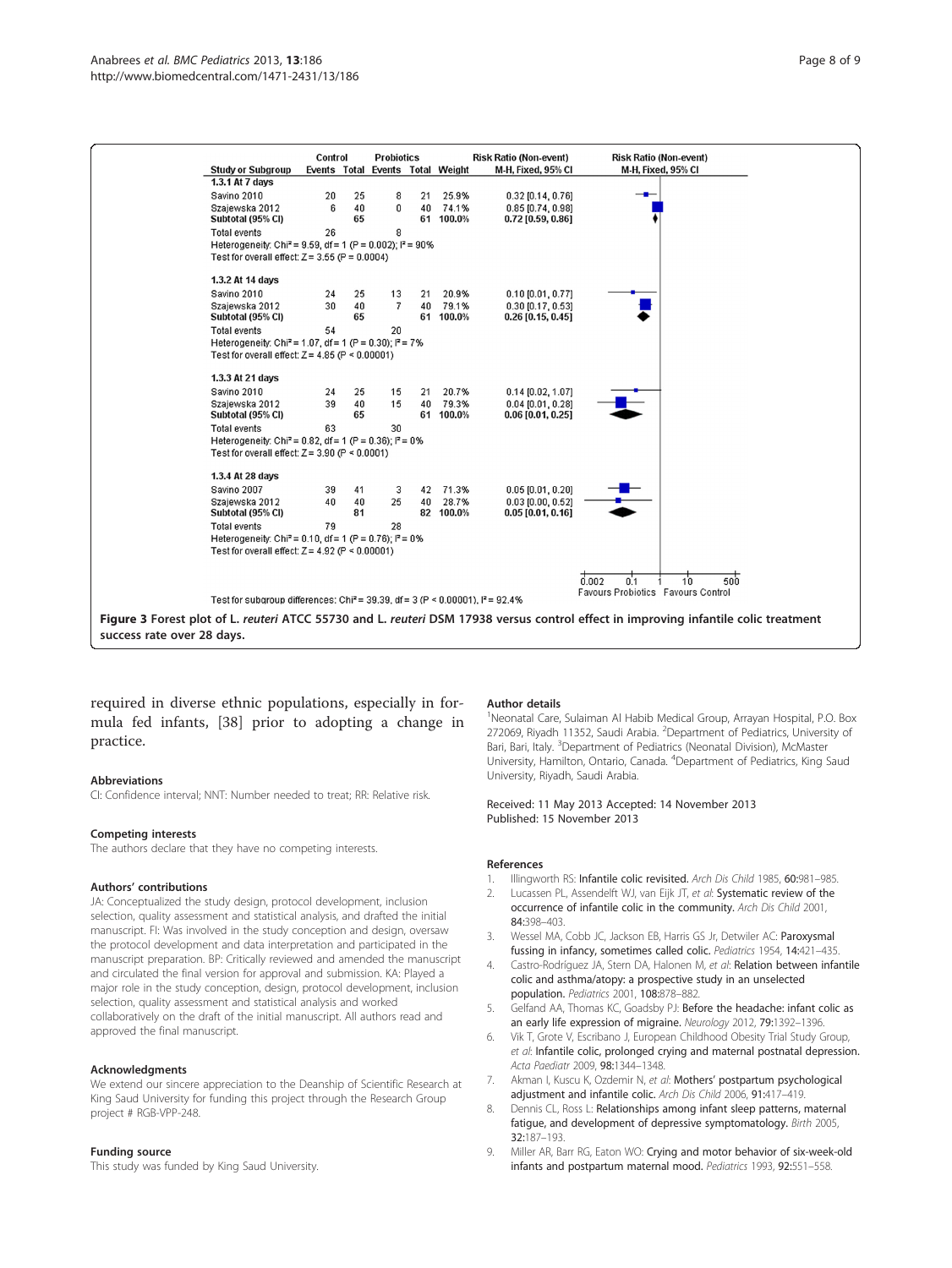<span id="page-7-0"></span>

required in diverse ethnic populations, especially in formula fed infants, [\[38](#page-8-0)] prior to adopting a change in practice.

#### Abbreviations

CI: Confidence interval; NNT: Number needed to treat; RR: Relative risk.

#### Competing interests

The authors declare that they have no competing interests.

#### Authors' contributions

JA: Conceptualized the study design, protocol development, inclusion selection, quality assessment and statistical analysis, and drafted the initial manuscript. FI: Was involved in the study conception and design, oversaw the protocol development and data interpretation and participated in the manuscript preparation. BP: Critically reviewed and amended the manuscript and circulated the final version for approval and submission. KA: Played a major role in the study conception, design, protocol development, inclusion selection, quality assessment and statistical analysis and worked collaboratively on the draft of the initial manuscript. All authors read and approved the final manuscript.

#### Acknowledgments

We extend our sincere appreciation to the Deanship of Scientific Research at King Saud University for funding this project through the Research Group project # RGB-VPP-248.

#### Funding source

This study was funded by King Saud University.

#### Author details

<sup>1</sup>Neonatal Care, Sulaiman Al Habib Medical Group, Arrayan Hospital, P.O. Box 272069, Riyadh 11352, Saudi Arabia. <sup>2</sup>Department of Pediatrics, University of Bari, Bari, Italy. <sup>3</sup>Department of Pediatrics (Neonatal Division), McMaster University, Hamilton, Ontario, Canada. <sup>4</sup> Department of Pediatrics, King Saud University, Riyadh, Saudi Arabia.

Received: 11 May 2013 Accepted: 14 November 2013 Published: 15 November 2013

#### References

- 1. Illingworth RS: Infantile colic revisited. Arch Dis Child 1985, 60:981-985.
- 2. Lucassen PL, Assendelft WJ, van Eijk JT, et al: Systematic review of the occurrence of infantile colic in the community. Arch Dis Child 2001, 84:398–403.
- 3. Wessel MA, Cobb JC, Jackson EB, Harris GS Jr, Detwiler AC: Paroxysmal fussing in infancy, sometimes called colic. Pediatrics 1954, 14:421–435.
- 4. Castro-Rodríguez JA, Stern DA, Halonen M, et al: Relation between infantile colic and asthma/atopy: a prospective study in an unselected population. Pediatrics 2001, 108:878–882.
- 5. Gelfand AA, Thomas KC, Goadsby PJ: Before the headache: infant colic as an early life expression of migraine. Neurology 2012, 79:1392-1396.
- 6. Vik T, Grote V, Escribano J, European Childhood Obesity Trial Study Group, et al: Infantile colic, prolonged crying and maternal postnatal depression. Acta Paediatr 2009, 98:1344–1348.
- 7. Akman I, Kuscu K, Ozdemir N, et al: Mothers' postpartum psychological adjustment and infantile colic. Arch Dis Child 2006, 91:417–419.
- 8. Dennis CL, Ross L: Relationships among infant sleep patterns, maternal fatigue, and development of depressive symptomatology. Birth 2005, 32:187–193.
- 9. Miller AR, Barr RG, Eaton WO: Crying and motor behavior of six-week-old infants and postpartum maternal mood. Pediatrics 1993, 92:551–558.